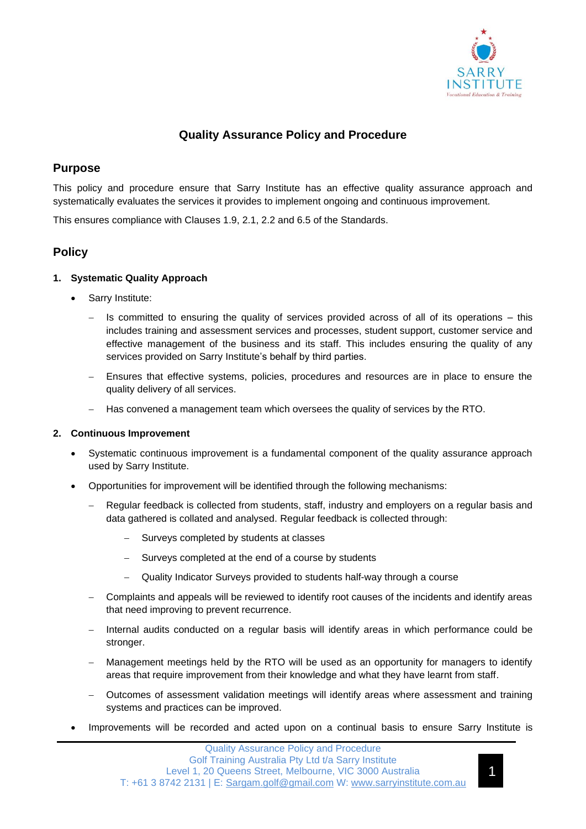

# **Quality Assurance Policy and Procedure**

# **Purpose**

This policy and procedure ensure that Sarry Institute has an effective quality assurance approach and systematically evaluates the services it provides to implement ongoing and continuous improvement.

This ensures compliance with Clauses 1.9, 2.1, 2.2 and 6.5 of the Standards.

# **Policy**

## **1. Systematic Quality Approach**

- Sarry Institute:
	- Is committed to ensuring the quality of services provided across of all of its operations this includes training and assessment services and processes, student support, customer service and effective management of the business and its staff. This includes ensuring the quality of any services provided on Sarry Institute's behalf by third parties.
	- Ensures that effective systems, policies, procedures and resources are in place to ensure the quality delivery of all services.
	- − Has convened a management team which oversees the quality of services by the RTO.

### **2. Continuous Improvement**

- Systematic continuous improvement is a fundamental component of the quality assurance approach used by Sarry Institute.
- Opportunities for improvement will be identified through the following mechanisms:
	- − Regular feedback is collected from students, staff, industry and employers on a regular basis and data gathered is collated and analysed. Regular feedback is collected through:
		- Surveys completed by students at classes
		- Surveys completed at the end of a course by students
		- − Quality Indicator Surveys provided to students half-way through a course
	- − Complaints and appeals will be reviewed to identify root causes of the incidents and identify areas that need improving to prevent recurrence.
	- − Internal audits conducted on a regular basis will identify areas in which performance could be stronger.
	- Management meetings held by the RTO will be used as an opportunity for managers to identify areas that require improvement from their knowledge and what they have learnt from staff.
	- − Outcomes of assessment validation meetings will identify areas where assessment and training systems and practices can be improved.
- Improvements will be recorded and acted upon on a continual basis to ensure Sarry Institute is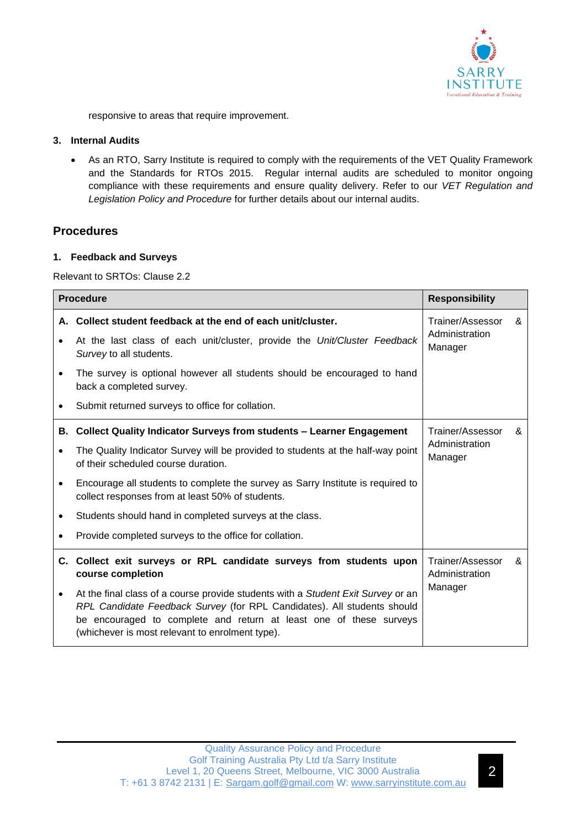

responsive to areas that require improvement.

### **3. Internal Audits**

• As an RTO, Sarry Institute is required to comply with the requirements of the VET Quality Framework and the Standards for RTOs 2015. Regular internal audits are scheduled to monitor ongoing compliance with these requirements and ensure quality delivery. Refer to our *VET Regulation and Legislation Policy and Procedure* for further details about our internal audits.

## **Procedures**

### **1. Feedback and Surveys**

Relevant to SRTOs: Clause 2.2

| <b>Procedure</b> |                                                                                                                                                                                                                                                                                      | <b>Responsibility</b>                         |   |
|------------------|--------------------------------------------------------------------------------------------------------------------------------------------------------------------------------------------------------------------------------------------------------------------------------------|-----------------------------------------------|---|
|                  | A. Collect student feedback at the end of each unit/cluster.<br>At the last class of each unit/cluster, provide the Unit/Cluster Feedback                                                                                                                                            | Trainer/Assessor<br>Administration            | & |
|                  | Survey to all students.                                                                                                                                                                                                                                                              | Manager                                       |   |
|                  | The survey is optional however all students should be encouraged to hand<br>back a completed survey.                                                                                                                                                                                 |                                               |   |
|                  | Submit returned surveys to office for collation.                                                                                                                                                                                                                                     |                                               |   |
|                  | <b>B. Collect Quality Indicator Surveys from students - Learner Engagement</b>                                                                                                                                                                                                       | Trainer/Assessor                              | & |
|                  | The Quality Indicator Survey will be provided to students at the half-way point<br>of their scheduled course duration.                                                                                                                                                               | Administration<br>Manager                     |   |
| $\bullet$        | Encourage all students to complete the survey as Sarry Institute is required to<br>collect responses from at least 50% of students.                                                                                                                                                  |                                               |   |
|                  | Students should hand in completed surveys at the class.                                                                                                                                                                                                                              |                                               |   |
|                  | Provide completed surveys to the office for collation.                                                                                                                                                                                                                               |                                               |   |
|                  | C. Collect exit surveys or RPL candidate surveys from students upon<br>course completion                                                                                                                                                                                             | Trainer/Assessor<br>Administration<br>Manager | & |
| $\bullet$        | At the final class of a course provide students with a Student Exit Survey or an<br>RPL Candidate Feedback Survey (for RPL Candidates). All students should<br>be encouraged to complete and return at least one of these surveys<br>(whichever is most relevant to enrolment type). |                                               |   |

2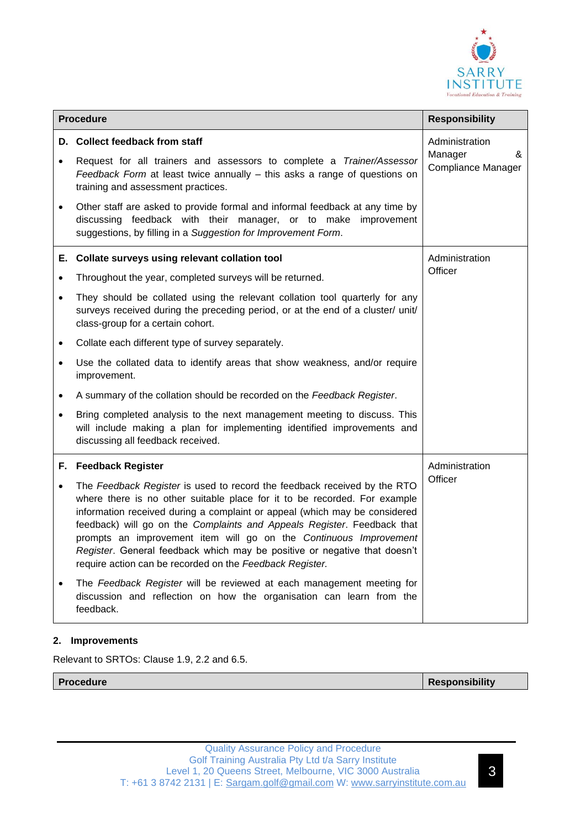

| <b>Procedure</b> |                                                                                                                                                                                                                                                                                                                                                                                                                                                                                                                              | <b>Responsibility</b>                                |
|------------------|------------------------------------------------------------------------------------------------------------------------------------------------------------------------------------------------------------------------------------------------------------------------------------------------------------------------------------------------------------------------------------------------------------------------------------------------------------------------------------------------------------------------------|------------------------------------------------------|
|                  | D. Collect feedback from staff                                                                                                                                                                                                                                                                                                                                                                                                                                                                                               | Administration<br>Manager<br>&<br>Compliance Manager |
| $\bullet$        | Request for all trainers and assessors to complete a Trainer/Assessor<br>Feedback Form at least twice annually - this asks a range of questions on<br>training and assessment practices.                                                                                                                                                                                                                                                                                                                                     |                                                      |
| $\bullet$        | Other staff are asked to provide formal and informal feedback at any time by<br>discussing feedback with their manager, or to make improvement<br>suggestions, by filling in a Suggestion for Improvement Form.                                                                                                                                                                                                                                                                                                              |                                                      |
|                  | E. Collate surveys using relevant collation tool                                                                                                                                                                                                                                                                                                                                                                                                                                                                             | Administration                                       |
| $\bullet$        | Throughout the year, completed surveys will be returned.                                                                                                                                                                                                                                                                                                                                                                                                                                                                     | Officer                                              |
| $\bullet$        | They should be collated using the relevant collation tool quarterly for any<br>surveys received during the preceding period, or at the end of a cluster/ unit/<br>class-group for a certain cohort.                                                                                                                                                                                                                                                                                                                          |                                                      |
| $\bullet$        | Collate each different type of survey separately.                                                                                                                                                                                                                                                                                                                                                                                                                                                                            |                                                      |
| $\bullet$        | Use the collated data to identify areas that show weakness, and/or require<br>improvement.                                                                                                                                                                                                                                                                                                                                                                                                                                   |                                                      |
| $\bullet$        | A summary of the collation should be recorded on the Feedback Register.                                                                                                                                                                                                                                                                                                                                                                                                                                                      |                                                      |
| $\bullet$        | Bring completed analysis to the next management meeting to discuss. This<br>will include making a plan for implementing identified improvements and<br>discussing all feedback received.                                                                                                                                                                                                                                                                                                                                     |                                                      |
|                  | F. Feedback Register                                                                                                                                                                                                                                                                                                                                                                                                                                                                                                         | Administration                                       |
| $\bullet$        | The Feedback Register is used to record the feedback received by the RTO<br>where there is no other suitable place for it to be recorded. For example<br>information received during a complaint or appeal (which may be considered<br>feedback) will go on the Complaints and Appeals Register. Feedback that<br>prompts an improvement item will go on the Continuous Improvement<br>Register. General feedback which may be positive or negative that doesn't<br>require action can be recorded on the Feedback Register. | Officer                                              |
|                  | The Feedback Register will be reviewed at each management meeting for<br>discussion and reflection on how the organisation can learn from the<br>feedback.                                                                                                                                                                                                                                                                                                                                                                   |                                                      |

## **2. Improvements**

Relevant to SRTOs: Clause 1.9, 2.2 and 6.5.

**Procedure Responsibility**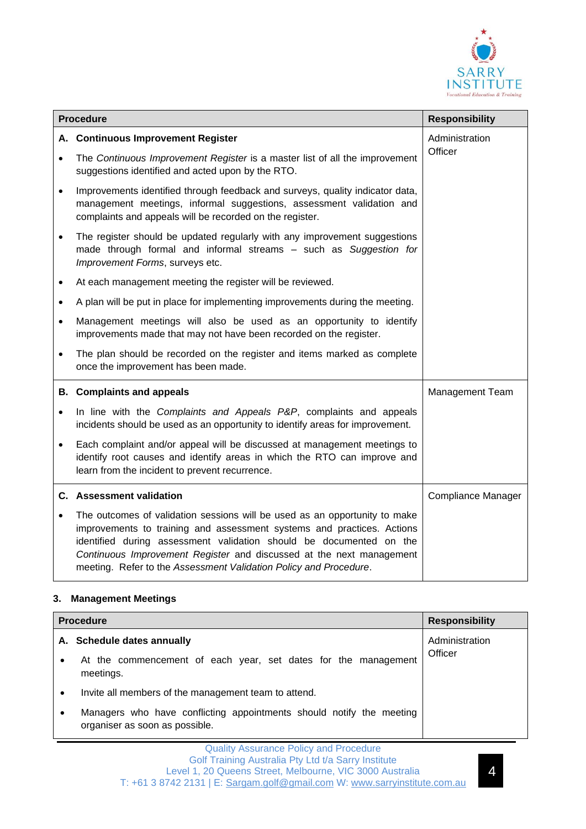

| <b>Procedure</b> |                                                                                                                                                                                                                                                                                                                                                                          | <b>Responsibility</b>     |
|------------------|--------------------------------------------------------------------------------------------------------------------------------------------------------------------------------------------------------------------------------------------------------------------------------------------------------------------------------------------------------------------------|---------------------------|
| А.               | <b>Continuous Improvement Register</b>                                                                                                                                                                                                                                                                                                                                   | Administration            |
|                  | The Continuous Improvement Register is a master list of all the improvement<br>suggestions identified and acted upon by the RTO.                                                                                                                                                                                                                                         | Officer                   |
| $\bullet$        | Improvements identified through feedback and surveys, quality indicator data,<br>management meetings, informal suggestions, assessment validation and<br>complaints and appeals will be recorded on the register.                                                                                                                                                        |                           |
| $\bullet$        | The register should be updated regularly with any improvement suggestions<br>made through formal and informal streams - such as Suggestion for<br>Improvement Forms, surveys etc.                                                                                                                                                                                        |                           |
| $\bullet$        | At each management meeting the register will be reviewed.                                                                                                                                                                                                                                                                                                                |                           |
| $\bullet$        | A plan will be put in place for implementing improvements during the meeting.                                                                                                                                                                                                                                                                                            |                           |
| $\bullet$        | Management meetings will also be used as an opportunity to identify<br>improvements made that may not have been recorded on the register.                                                                                                                                                                                                                                |                           |
|                  | The plan should be recorded on the register and items marked as complete<br>once the improvement has been made.                                                                                                                                                                                                                                                          |                           |
|                  | <b>B.</b> Complaints and appeals                                                                                                                                                                                                                                                                                                                                         | Management Team           |
| $\bullet$        | In line with the Complaints and Appeals P&P, complaints and appeals<br>incidents should be used as an opportunity to identify areas for improvement.                                                                                                                                                                                                                     |                           |
| $\bullet$        | Each complaint and/or appeal will be discussed at management meetings to<br>identify root causes and identify areas in which the RTO can improve and<br>learn from the incident to prevent recurrence.                                                                                                                                                                   |                           |
|                  | <b>C.</b> Assessment validation                                                                                                                                                                                                                                                                                                                                          | <b>Compliance Manager</b> |
|                  | The outcomes of validation sessions will be used as an opportunity to make<br>improvements to training and assessment systems and practices. Actions<br>identified during assessment validation should be documented on the<br>Continuous Improvement Register and discussed at the next management<br>meeting. Refer to the Assessment Validation Policy and Procedure. |                           |

## **3. Management Meetings**

| <b>Procedure</b> |                                                                                                        | <b>Responsibility</b> |
|------------------|--------------------------------------------------------------------------------------------------------|-----------------------|
|                  | A. Schedule dates annually                                                                             | Administration        |
|                  | At the commencement of each year, set dates for the management<br>meetings.                            | Officer               |
|                  | Invite all members of the management team to attend.                                                   |                       |
|                  | Managers who have conflicting appointments should notify the meeting<br>organiser as soon as possible. |                       |

4